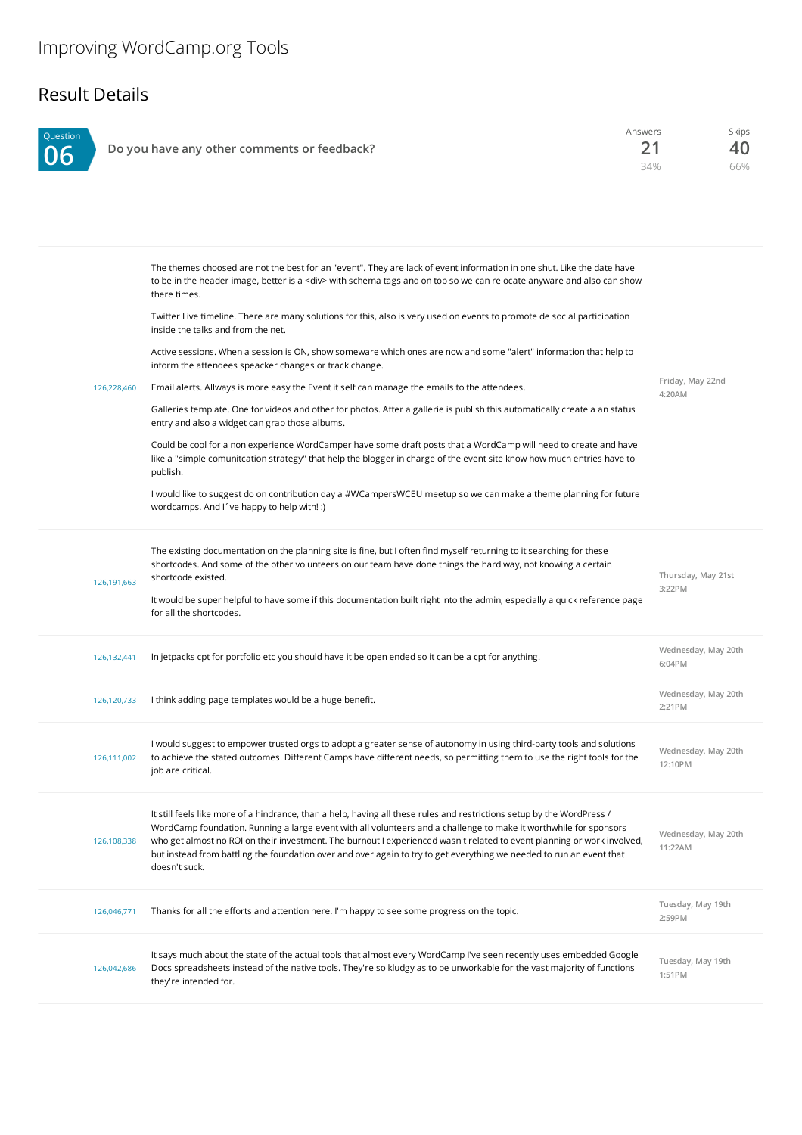## Result Details

| Question | Do you have any other comments or feedback?                                                                                                                                                                                                                            | Answers<br>21<br>34% | <b>Skips</b><br>40<br>66% |
|----------|------------------------------------------------------------------------------------------------------------------------------------------------------------------------------------------------------------------------------------------------------------------------|----------------------|---------------------------|
|          | The themes choosed are not the best for an "event". They are lack of event information in one shut. Like the date have<br>to be in the header image, better is a <div> with schema tags and on top so we can relocate anyware and also can show<br/>there times.</div> |                      |                           |
|          | Twitter Live timeline. There are many solutions for this, also is very used on events to promote de social participation<br>inside the talks and from the net.                                                                                                         |                      |                           |
|          | Active sessions. When a session is ON, show someware which ones are now and some "alert" information that help to<br>inform the attendees speacker changes or track change.                                                                                            |                      |                           |
|          | Email alerts. Allways is more easy the Event it self can manage the emails to the attendees.<br>126.228.460                                                                                                                                                            | 4:20AM               | Friday, May 22nd          |
|          | Galleries template. One for videos and other for photos. After a gallerie is publish this automatically create a an status<br>entry and also a widget can grab those albums.                                                                                           |                      |                           |

Could be cool for a non experience WordCamper have some draft posts that a WordCamp will need to create and have like a "simple comunitcation strategy" that help the blogger in charge of the event site know how much entries have to publish.

I would like to suggest do on contribution day a #WCampersWCEU meetup so we can make a theme planning for future wordcamps. And I´ve happy to help with! :)

| 126.191.663 | The existing documentation on the planning site is fine, but I often find myself returning to it searching for these<br>shortcodes. And some of the other volunteers on our team have done things the hard way, not knowing a certain<br>shortcode existed.<br>It would be super helpful to have some if this documentation built right into the admin, especially a quick reference page<br>for all the shortcodes.                                                                                            | Thursday, May 21st<br>3:22PM   |
|-------------|-----------------------------------------------------------------------------------------------------------------------------------------------------------------------------------------------------------------------------------------------------------------------------------------------------------------------------------------------------------------------------------------------------------------------------------------------------------------------------------------------------------------|--------------------------------|
| 126,132,441 | In jetpacks cpt for portfolio etc you should have it be open ended so it can be a cpt for anything.                                                                                                                                                                                                                                                                                                                                                                                                             | Wednesday, May 20th<br>6:04PM  |
| 126,120,733 | I think adding page templates would be a huge benefit.                                                                                                                                                                                                                                                                                                                                                                                                                                                          | Wednesday, May 20th<br>2:21P M |
| 126,111,002 | I would suggest to empower trusted orgs to adopt a greater sense of autonomy in using third-party tools and solutions<br>to achieve the stated outcomes. Different Camps have different needs, so permitting them to use the right tools for the<br>job are critical.                                                                                                                                                                                                                                           | Wednesday, May 20th<br>12:10PM |
| 126,108,338 | It still feels like more of a hindrance, than a help, having all these rules and restrictions setup by the WordPress /<br>WordCamp foundation. Running a large event with all volunteers and a challenge to make it worthwhile for sponsors<br>who get almost no ROI on their investment. The burnout I experienced wasn't related to event planning or work involved,<br>but instead from battling the foundation over and over again to try to get everything we needed to run an event that<br>doesn't suck. | Wednesday, May 20th<br>11:22AM |
| 126,046,771 | Thanks for all the efforts and attention here. I'm happy to see some progress on the topic.                                                                                                                                                                                                                                                                                                                                                                                                                     | Tuesday, May 19th<br>2:59PM    |
| 126,042,686 | It says much about the state of the actual tools that almost every WordCamp I've seen recently uses embedded Google<br>Docs spreadsheets instead of the native tools. They're so kludgy as to be unworkable for the vast majority of functions<br>they're intended for.                                                                                                                                                                                                                                         | Tuesday, May 19th<br>1:51PM    |